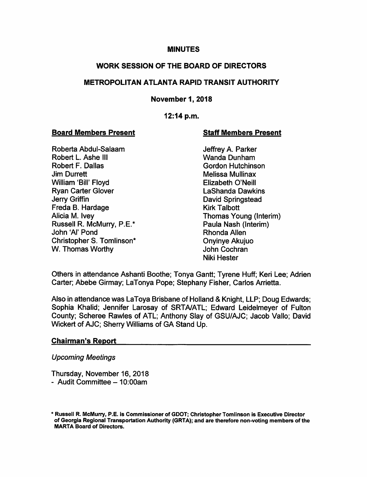## **MINUTES**

## WORK SESSION OF THE BOARD OF DIRECTORS

## METROPOLITAN ATLANTA RAPID TRANSIT AUTHORITY

## November 1, 2018

## 12:14 p.m.

#### Board Members Present Staff Members Present

Roberta Abdul-Salaam Jeffrey A. Parker<br>Robert L. Ashe III and Junham Vanda Dunham Robert L. Ashe III<br>Robert F. Dallas **Jim Durrett** Melissa Mullinax William 'Bill' Floyd **Elizabeth O'Neill** Ryan Carter Glover **LaShanda Dawkins** Jerry Griffin David Springstead Freda B. Hardage Kirk Talbott Alicia M. Ivey Thomas Young (Interim) Russell R. McMurry, P.E.\* Paula Nash (Interim) John 'Al' Pond **Rhonda Allen** Christopher S. Tomlinson\* Christopher S. Tomlinson\* Onyinye Akujuo W. Thomas Worthy **Communist Communist Communist Communist Communist Communist Communist Communist Communist Communist Communist Communist Communist Communist Communist Communist Communist Communist Communist Communist Comm** 

**Gordon Hutchinson** Niki Hester

Others in attendance Ashanti Boothe; Tonya Gantt; Tyrene Huff; Keri Lee; Adrien Carter; Abebe Girmay; LaTonya Pope; Stephany Fisher, Carlos Arrietta.

Also in attendance was LaToya Brisbane of Holland & Knight, LLP; Doug Edwards; Sophia Khalid; Jennifer Larosay of SRTA/ATL; Edward Leidelmeyer of Fulton County; Scheree Rawles of ATL; Anthony Slay of GSU/AJC; Jacob Vallo; David Wickert of AJC; Sherry Williams of GA Stand Up.

## Chairman's Report

## Upcoming Meetings

Thursday, November 16, 2018

- Audit Committee  $-10:00$ am

<sup>&#</sup>x27; Russell R. McMurry, P.E. is Commissioner of GDOT; Christopher Tomlinson Is Executive Director of Georgia Regional Transportation Authority (GRTA); and are therefore non-voting members of the MARTA Board of Directors.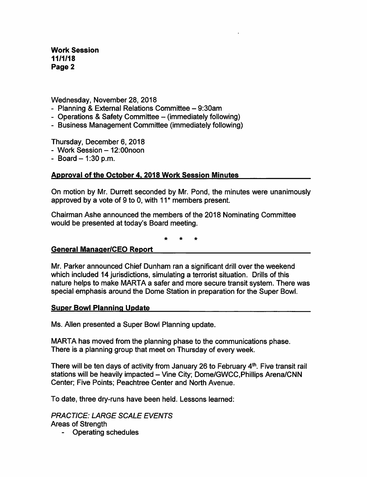Wednesday, November 28, 2018

- Planning & External Relations Committee 9:30am
- Operations & Safety Committee (immediately following)
- Business Management Committee (immediately following)

Thursday, December 6, 2018

- Work Session 12:00noon
- $-$  Board  $-$  1:30 p.m.

# Approval of the October 4. 2018 Work Session Minutes

On motion by Mr. Durrett seconded by Mr. Pond, the minutes were unanimously approved by a vote of 9 to 0, with 11\* members present.

Chairman Ashe announced the members of the 2018 Nominating Committee would be presented at today's Board meeting.

## General Manaaer/CEO Report

Mr. Parker announced Chief Dunham ran a significant drill over the weekend which included 14 jurisdictions, simulating a terrorist situation. Drills of this nature helps to make MARTA a safer and more secure transit system. There was special emphasis around the Dome Station in preparation for the Super Bowl.

## **Super Bowl Planning Update**

Ms. Allen presented a Super Bowl Planning update.

MARTA has moved from the planning phase to the communications phase. There is a planning group that meet on Thursday of every week.

There will be ten days of activity from January 26 to February 4<sup>th</sup>. Five transit rail stations will be heavily impacted - Vine City; Dome/GWCC, Phillips Arena/CNN Center; Five Points; Peachtree Center and North Avenue.

To date, three dry-runs have been held. Lessons learned:

PRACTICE: LARGE SCALE EVENTS Areas of Strength

- Operating schedules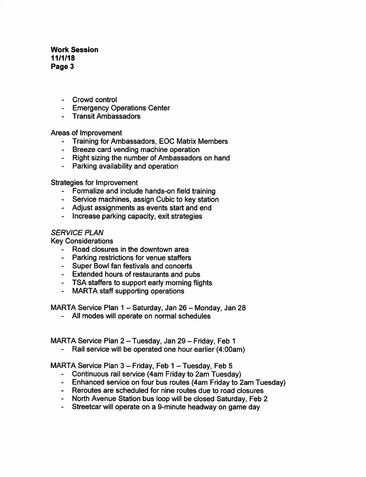- Crowd control
- Emergency Operations Center
- Transit Ambassadors

Areas of Improvement

- Training for Ambassadors, EOC Matrix Members
- Breeze card vending machine operation
- Right sizing the number of Ambassadors on hand
- Parking availability and operation

Strategies for Improvement

- Formalize and include hands-on field training
- Service machines, assign Cubic to key station
- Adjust assignments as events start and end
- Increase parking capacity, exit strategies

#### SERVICE PLAN

Key Considerations

- Road closures in the downtown area
- Parking restrictions for venue staffers
- Super Bowl fan festivals and concerts
- Extended hours of restaurants and pubs
- TSA staffers to support early morning flights
- MARTA staff supporting operations

MARTA Service Plan 1 - Saturday, Jan 26 - Monday, Jan 28

- All modes will operate on normal schedules

MARTA Service Plan 2 - Tuesday, Jan 29 - Friday, Feb 1

- Rail service will be operated one hour earlier (4:00am)

MARTA Service Plan  $3$  – Friday, Feb  $1$  – Tuesday, Feb 5

- Continuous rail service (4am Friday to 2am Tuesday)
- Enhanced service on four bus routes (4am Friday to 2am Tuesday)
- Reroutes are scheduled for nine routes due to road closures
- North Avenue Station bus loop will be closed Saturday, Feb 2
- Streetcar will operate on a 9-minute headway on game day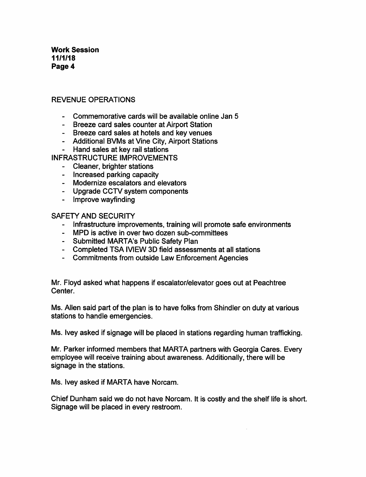## REVENUE OPERATIONS

- Commemorative cards will be available online Jan 5
- Breeze card sales counter at Airport Station
- Breeze card sales at hotels and key venues
- Additional BVMs at Vine City, Airport Stations
- Hand sales at key rail stations
- INFRASTRUCTURE IMPROVEMENTS
	- Cleaner, brighter stations
	- Increased parking capacity
	- Modernize escalators and elevators
	- Upgrade CCTV system components
	- Improve wayfinding

SAFETY AND SECURITY

- Infrastructure improvements, training will promote safe environments
- MPD is active in over two dozen sub-committees
- Submitted MARTA's Public Safety Plan
- Completed TSA IVIEW 3D field assessments at all stations
- Commitments from outside Law Enforcement Agencies

Mr. Floyd asked what happens if escalator/elevator goes out at Peachtree Center.

Ms. Allen said part of the plan is to have folks from Shindler on duty at various stations to handle emergencies.

Ms. Ivey asked if signage will be placed in stations regarding human trafficking.

Mr. Parker informed members that MARTA partners with Georgia Cares. Every employee will receive training about awareness. Additionally, there will be signage in the stations.

Ms. Ivey asked if MARTA have Norcam.

Chief Dunham said we do not have Norcam. It is costly and the shelf life is short. Signage will be placed in every restroom.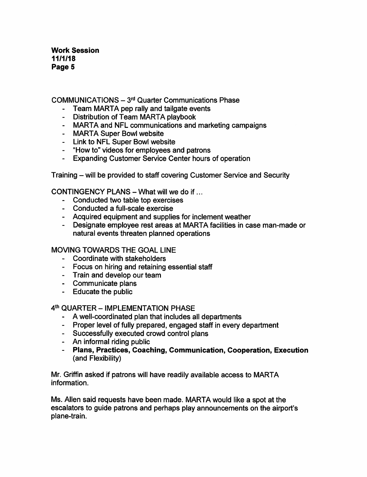$COMMUNICATIONS -  $3<sup>rd</sup>$  Quarter Communications Phase$ 

- Team MARTA pep rally and tailgate events
- Distribution of Team MARTA playbook
- MARTA and NFL communications and marketing campaigns
- MARTA Super Bowl website
- Link to NFL Super Bowl website
- "How to" videos for employees and patrons
- Expanding Customer Service Center hours of operation

Training - will be provided to staff covering Customer Service and Security

CONTINGENCY PLANS  $-$  What will we do if...

- Conducted two table top exercises
- Conducted a full-scale exercise
- Acquired equipment and supplies for inclement weather
- Designate employee rest areas at MARTA facilities in case man-made or natural events threaten planned operations

## MOVING TOWARDS THE GOAL LINE

- Coordinate with stakeholders
- Focus on hiring and retaining essential staff
- Train and develop our team
- Communicate plans
- Educate the public

#### 4th QUARTER - IMPLEMENTATION PHASE

- A well-coordinated plan that includes all departments
- Proper level of fully prepared, engaged staff in every department
- Successfully executed crowd control plans
- An informal riding public
- Plans, Practices, Coaching, Communication, Cooperation, Execution (and Flexibility)

Mr. Griffin asked if patrons will have readily available access to MARTA information.

Ms. Allen said requests have been made. MARTA would like a spot at the escalators to guide patrons and perhaps play announcements on the airport's plane-train.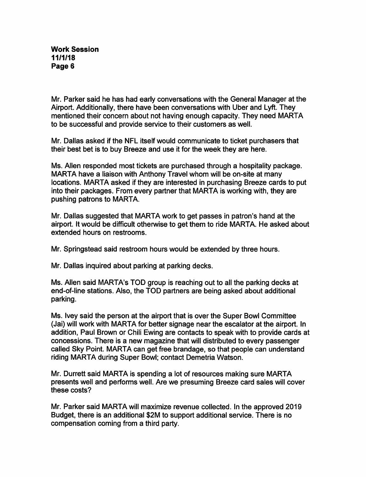Mr. Parker said he has had early conversations with the General Manager at the Airport. Additionally, there have been conversations with Uber and Lyft. They mentioned their concern about not having enough capacity. They need MARTA to be successful and provide service to their customers as well.

Mr. Dallas asked if the NFL itself would communicate to ticket purchasers that their best bet is to buy Breeze and use it for the week they are here.

Ms. Allen responded most tickets are purchased through a hospitality package. MARTA have a liaison with Anthony Travel whom will be on-site at many locations. MARTA asked if they are interested in purchasing Breeze cards to put into their packages. From every partner that MARTA is working with, they are pushing patrons to MARTA.

Mr. Dallas suggested that MARTA work to get passes in patron's hand at the airport. It would be difficult otherwise to get them to ride MARTA. He asked about extended hours on restrooms.

Mr. Springstead said restroom hours would be extended by three hours.

Mr. Dallas inquired about parking at parking decks.

Ms. Allen said MARTA's TOD group is reaching out to all the parking decks at end-of-line stations. Also, the TOD partners are being asked about additional parking.

Ms. Ivey said the person at the airport that is over the Super Bowl Committee (Jai) will work with MARTA for better signage near the escalator at the airport. In addition, Paul Brown or Chili Ewing are contacts to speak with to provide cards at concessions. There is a new magazine that will distributed to every passenger called Sky Point. MARTA can get free brandage, so that people can understand riding MARTA during Super Bowl; contact Demetria Watson.

Mr. Durrett said MARTA is spending a lot of resources making sure MARTA presents well and performs well. Are we presuming Breeze card sales will cover these costs?

Mr. Parker said MARTA will maximize revenue collected. In the approved 2019 Budget, there is an additional \$2M to support additional service. There is no compensation coming from a third party.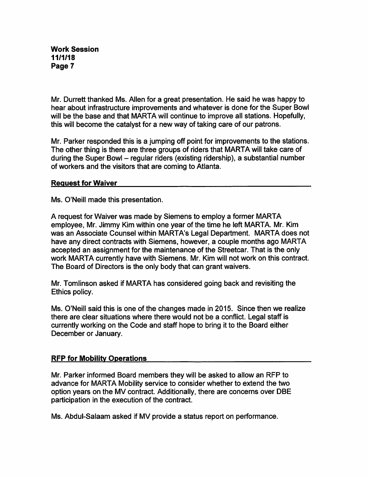Mr. Durrett thanked Ms. Allen for a great presentation. He said he was happy to hear about infrastructure improvements and whatever is done for the Super Bowl will be the base and that MARTA will continue to improve all stations. Hopefully, this will become the catalyst for a new way of taking care of our patrons.

Mr. Parker responded this is a jumping off point for improvements to the stations. The other thing is there are three groups of riders that MARTA will take care of during the Super Bowl – regular riders (existing ridership), a substantial number of workers and the visitors that are coming to Atlanta.

#### Request for Waiver

Ms. O'Neill made this presentation.

A request for Waiver was made by Siemens to employ a former MARTA employee, Mr. Jimmy Kim within one year of the time he left MARTA. Mr. Kim was an Associate Counsel within MARTA's Legal Department. MARTA does not have any direct contracts with Siemens, however, a couple months ago MARTA accepted an assignment for the maintenance of the Streetcar. That is the only work MARTA currently have with Siemens. Mr. Kim will not work on this contract. The Board of Directors is the only body that can grant waivers.

Mr. Tomlinson asked if MARTA has considered going back and revisiting the Ethics policy.

Ms. O'Neill said this is one of the changes made in 2015. Since then we realize there are clear situations where there would not be a conflict. Legal staff is currently working on the Code and staff hope to bring it to the Board either December or January.

## RFP for Mobility Operations

Mr. Parker informed Board members they will be asked to allow an RFP to advance for MARTA Mobility service to consider whether to extend the two option years on the MV contract. Additionally, there are concerns over DBE participation in the execution of the contract.

Ms. Abdul-Salaam asked if MV provide a status report on performance.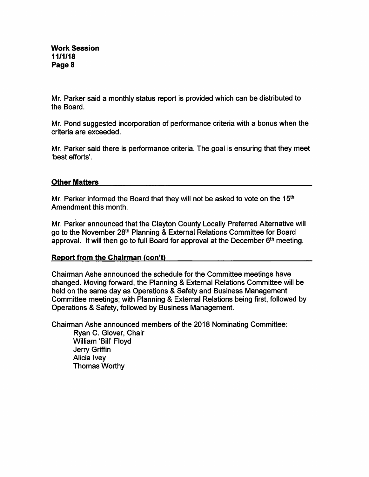Mr. Parker said a monthly status report is provided which can be distributed to the Board.

Mr. Pond suggested incorporation of performance criteria with a bonus when the criteria are exceeded.

Mr. Parker said there is performance criteria. The goal is ensuring that they meet 'best efforts'.

## Other Matters

Mr. Parker informed the Board that they will not be asked to vote on the 15<sup>th</sup> Amendment this month.

Mr. Parker announced that the Clayton County Locally Preferred Alternative will go to the November 28<sup>th</sup> Planning & External Relations Committee for Board approval. It will then go to full Board for approval at the December  $6<sup>th</sup>$  meeting.

# Report from the Chairman (con't)

Chairman Ashe announced the schedule for the Committee meetings have changed. Moving forward, the Planning & External Relations Committee will be held on the same day as Operations & Safety and Business Management Committee meetings; with Planning & External Relations being first, followed by Operations & Safety, followed by Business Management.

Chairman Ashe announced members of the 2018 Nominating Committee:

Ryan C. Glover, Chair William 'Bill' Floyd Jerry Griffin Alicia Ivey Thomas Worthy